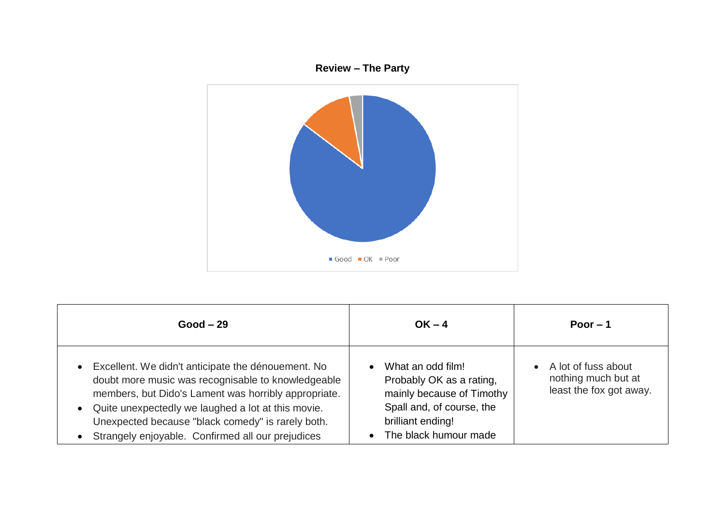

| $Good - 29$                                                                                                                                                                                                                                                                                                                          | $OK - 4$                                                                                                                                              | Poor $-1$                                                                          |
|--------------------------------------------------------------------------------------------------------------------------------------------------------------------------------------------------------------------------------------------------------------------------------------------------------------------------------------|-------------------------------------------------------------------------------------------------------------------------------------------------------|------------------------------------------------------------------------------------|
| • Excellent. We didn't anticipate the dénouement. No<br>doubt more music was recognisable to knowledgeable<br>members, but Dido's Lament was horribly appropriate.<br>• Quite unexpectedly we laughed a lot at this movie.<br>Unexpected because "black comedy" is rarely both.<br>Strangely enjoyable. Confirmed all our prejudices | What an odd film!<br>Probably OK as a rating,<br>mainly because of Timothy<br>Spall and, of course, the<br>brilliant ending!<br>The black humour made | A lot of fuss about<br>$\bullet$<br>nothing much but at<br>least the fox got away. |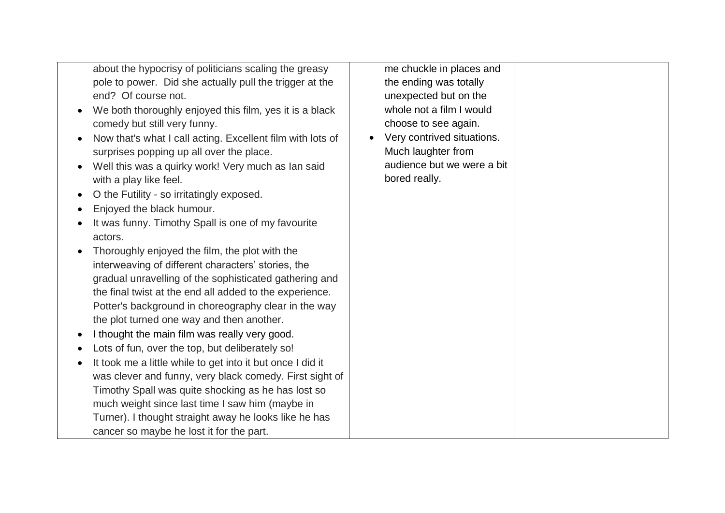about the hypocrisy of politicians scaling the greasy pole to power. Did she actually pull the trigger at the end? Of course not.

- We both thoroughly enjoyed this film, yes it is a black comedy but still very funny.
- Now that's what I call acting. Excellent film with lots of surprises popping up all over the place.
- Well this was a quirky work! Very much as Ian said with a play like feel.
- O the Futility so irritatingly exposed.
- Enjoyed the black humour.
- It was funny. Timothy Spall is one of my favourite actors.
- Thoroughly enjoyed the film, the plot with the interweaving of different characters' stories, the gradual unravelling of the sophisticated gathering and the final twist at the end all added to the experience. Potter's background in choreography clear in the way the plot turned one way and then another.
- I thought the main film was really very good.
- Lots of fun, over the top, but deliberately so!
- It took me a little while to get into it but once I did it was clever and funny, very black comedy. First sight of Timothy Spall was quite shocking as he has lost so much weight since last time I saw him (maybe in Turner). I thought straight away he looks like he has cancer so maybe he lost it for the part.

me chuckle in places and the ending was totally unexpected but on the whole not a film I would choose to see again.

• Very contrived situations. Much laughter from audience but we were a bit bored really.